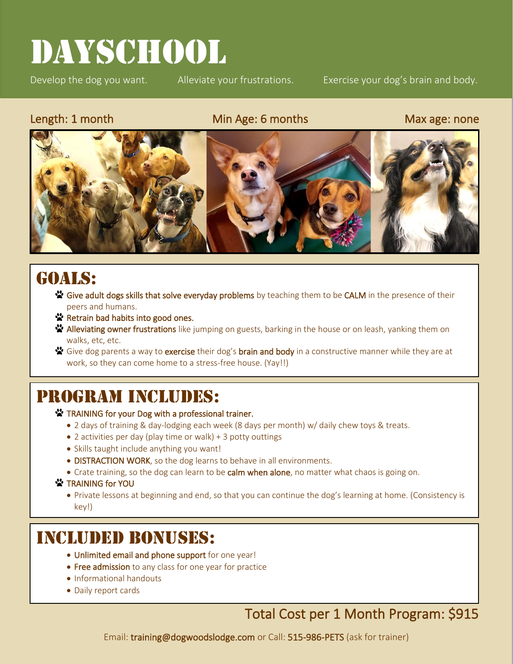# DAYSCHOOL

Develop the dog you want. Alleviate your frustrations. Exercise your dog's brain and body.

l

### Length: 1 month Min Age: 6 months Max age: none



## GOALS:

- Solve adult dogs skills that solve everyday problems by teaching them to be CALM in the presence of their peers and humans.
- ☆ Retrain bad habits into good ones.
- ☆ Alleviating owner frustrations like jumping on guests, barking in the house or on leash, yanking them on walks, etc, etc.
- Give dog parents a way to exercise their dog's brain and body in a constructive manner while they are at  $\ddot{\phantom{a}}$ work, so they can come home to a stress-free house. (Yay!!)

## PROGRAM INCLUDES:

#### **TRAINING for your Dog with a professional trainer.**

- 2 days of training & day-lodging each week (8 days per month) w/ daily chew toys & treats.
- 2 activities per day (play time or walk) + 3 potty outtings
- Skills taught include anything you want!
- DISTRACTION WORK, so the dog learns to behave in all environments.
- Crate training, so the dog can learn to be calm when alone, no matter what chaos is going on.

#### **☆** TRAINING for YOU

• Private lessons at beginning and end, so that you can continue the dog's learning at home. (Consistency is key!)

## Included Bonuses:

- Unlimited email and phone support for one year!
- Free admission to any class for one year for practice
- Informational handouts
- Daily report cards

### Total Cost per 1 Month Program: \$915

Email: training@dogwoodslodge.com or Call: 515-986-PETS (ask for trainer)